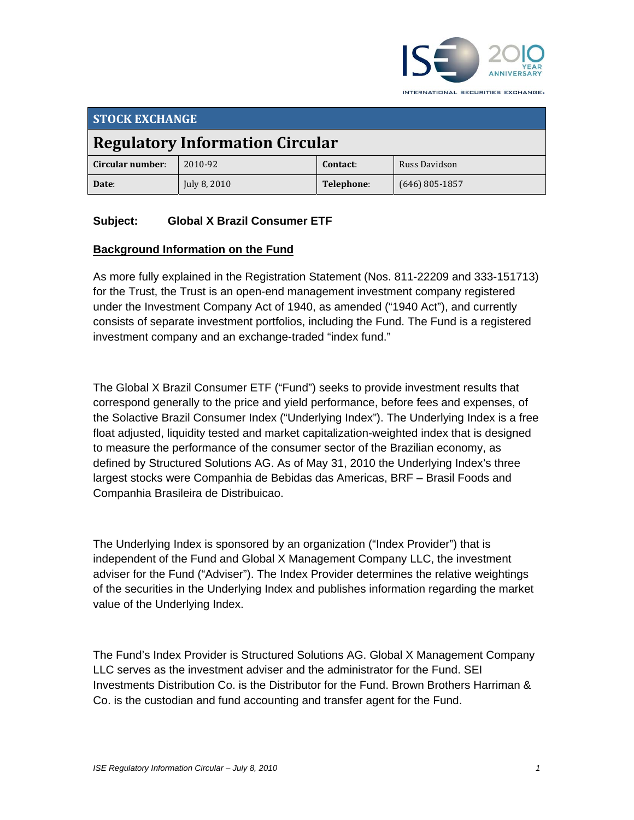

**STOCK EXCHANGE Regulatory Information Circular Circular number**: 2010‐92 **Contact**: Russ Davidson **Date**: July 8, 2010 **Telephone**: (646) 805‐1857

## **Subject: Global X Brazil Consumer ETF**

#### **Background Information on the Fund**

As more fully explained in the Registration Statement (Nos. 811-22209 and 333-151713) for the Trust, the Trust is an open-end management investment company registered under the Investment Company Act of 1940, as amended ("1940 Act"), and currently consists of separate investment portfolios, including the Fund. The Fund is a registered investment company and an exchange-traded "index fund."

The Global X Brazil Consumer ETF ("Fund") seeks to provide investment results that correspond generally to the price and yield performance, before fees and expenses, of the Solactive Brazil Consumer Index ("Underlying Index"). The Underlying Index is a free float adjusted, liquidity tested and market capitalization-weighted index that is designed to measure the performance of the consumer sector of the Brazilian economy, as defined by Structured Solutions AG. As of May 31, 2010 the Underlying Index's three largest stocks were Companhia de Bebidas das Americas, BRF – Brasil Foods and Companhia Brasileira de Distribuicao.

The Underlying Index is sponsored by an organization ("Index Provider") that is independent of the Fund and Global X Management Company LLC, the investment adviser for the Fund ("Adviser"). The Index Provider determines the relative weightings of the securities in the Underlying Index and publishes information regarding the market value of the Underlying Index.

The Fund's Index Provider is Structured Solutions AG. Global X Management Company LLC serves as the investment adviser and the administrator for the Fund. SEI Investments Distribution Co. is the Distributor for the Fund. Brown Brothers Harriman & Co. is the custodian and fund accounting and transfer agent for the Fund.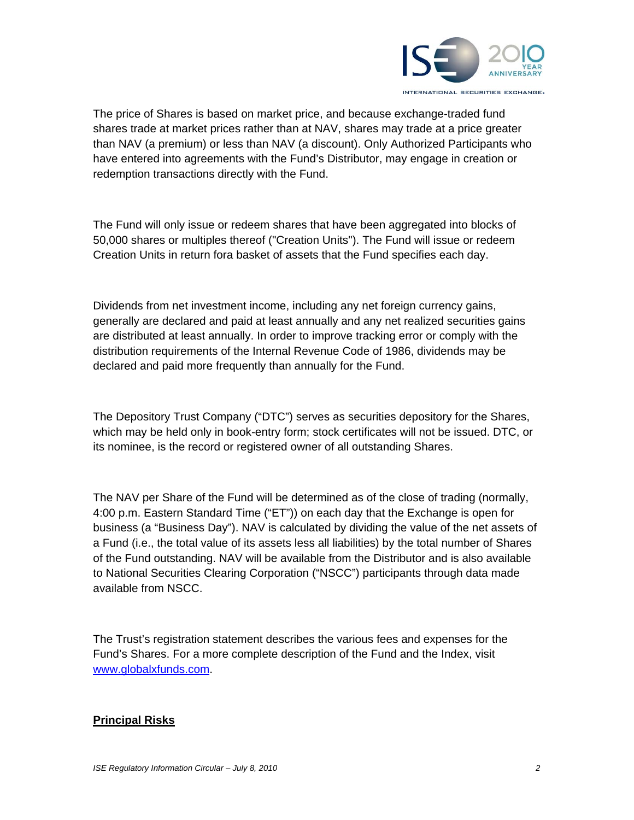

The price of Shares is based on market price, and because exchange-traded fund shares trade at market prices rather than at NAV, shares may trade at a price greater than NAV (a premium) or less than NAV (a discount). Only Authorized Participants who have entered into agreements with the Fund's Distributor, may engage in creation or redemption transactions directly with the Fund.

The Fund will only issue or redeem shares that have been aggregated into blocks of 50,000 shares or multiples thereof ("Creation Units"). The Fund will issue or redeem Creation Units in return fora basket of assets that the Fund specifies each day.

Dividends from net investment income, including any net foreign currency gains, generally are declared and paid at least annually and any net realized securities gains are distributed at least annually. In order to improve tracking error or comply with the distribution requirements of the Internal Revenue Code of 1986, dividends may be declared and paid more frequently than annually for the Fund.

The Depository Trust Company ("DTC") serves as securities depository for the Shares, which may be held only in book-entry form; stock certificates will not be issued. DTC, or its nominee, is the record or registered owner of all outstanding Shares.

The NAV per Share of the Fund will be determined as of the close of trading (normally, 4:00 p.m. Eastern Standard Time ("ET")) on each day that the Exchange is open for business (a "Business Day"). NAV is calculated by dividing the value of the net assets of a Fund (i.e., the total value of its assets less all liabilities) by the total number of Shares of the Fund outstanding. NAV will be available from the Distributor and is also available to National Securities Clearing Corporation ("NSCC") participants through data made available from NSCC.

The Trust's registration statement describes the various fees and expenses for the Fund's Shares. For a more complete description of the Fund and the Index, visit www.globalxfunds.com.

## **Principal Risks**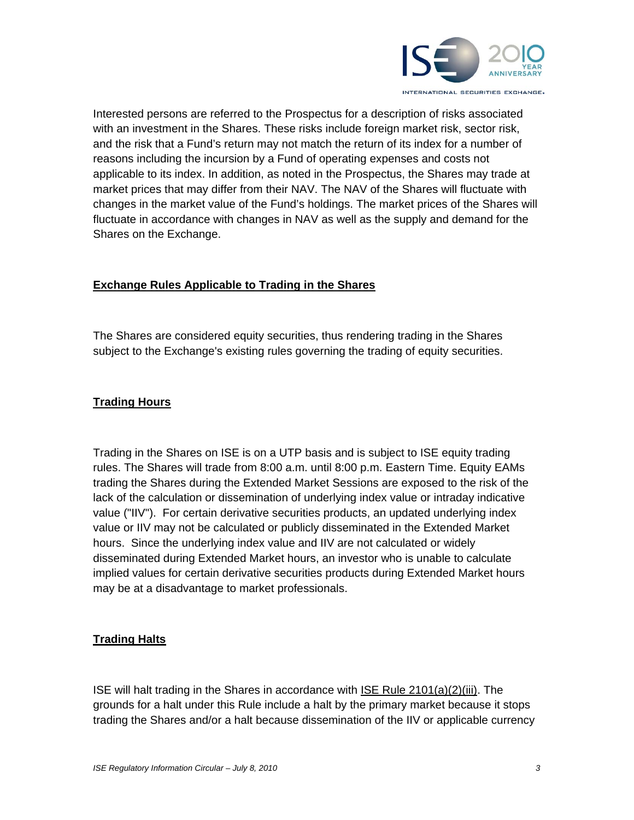

Interested persons are referred to the Prospectus for a description of risks associated with an investment in the Shares. These risks include foreign market risk, sector risk, and the risk that a Fund's return may not match the return of its index for a number of reasons including the incursion by a Fund of operating expenses and costs not applicable to its index. In addition, as noted in the Prospectus, the Shares may trade at market prices that may differ from their NAV. The NAV of the Shares will fluctuate with changes in the market value of the Fund's holdings. The market prices of the Shares will fluctuate in accordance with changes in NAV as well as the supply and demand for the Shares on the Exchange.

## **Exchange Rules Applicable to Trading in the Shares**

The Shares are considered equity securities, thus rendering trading in the Shares subject to the Exchange's existing rules governing the trading of equity securities.

#### **Trading Hours**

Trading in the Shares on ISE is on a UTP basis and is subject to ISE equity trading rules. The Shares will trade from 8:00 a.m. until 8:00 p.m. Eastern Time. Equity EAMs trading the Shares during the Extended Market Sessions are exposed to the risk of the lack of the calculation or dissemination of underlying index value or intraday indicative value ("IIV"). For certain derivative securities products, an updated underlying index value or IIV may not be calculated or publicly disseminated in the Extended Market hours. Since the underlying index value and IIV are not calculated or widely disseminated during Extended Market hours, an investor who is unable to calculate implied values for certain derivative securities products during Extended Market hours may be at a disadvantage to market professionals.

#### **Trading Halts**

ISE will halt trading in the Shares in accordance with ISE Rule 2101(a)(2)(iii). The grounds for a halt under this Rule include a halt by the primary market because it stops trading the Shares and/or a halt because dissemination of the IIV or applicable currency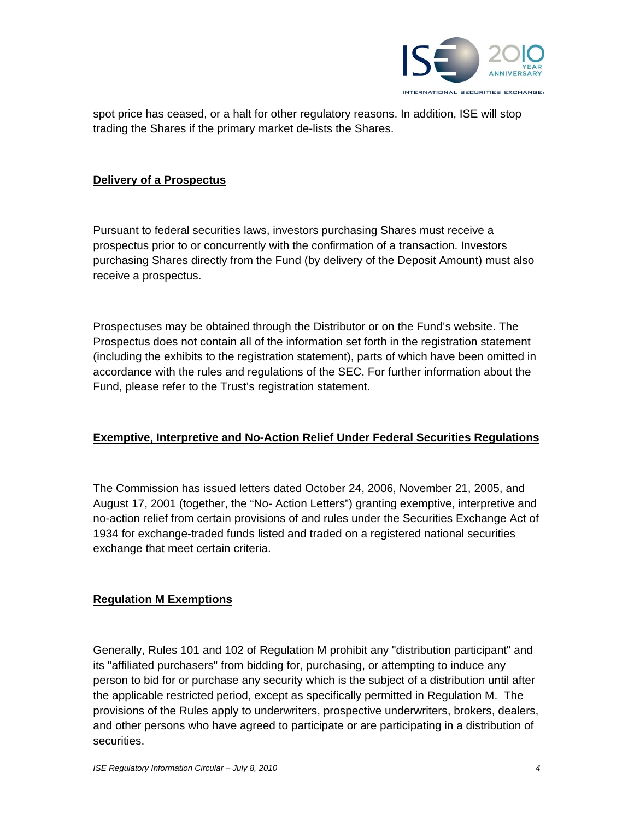

spot price has ceased, or a halt for other regulatory reasons. In addition, ISE will stop trading the Shares if the primary market de-lists the Shares.

#### **Delivery of a Prospectus**

Pursuant to federal securities laws, investors purchasing Shares must receive a prospectus prior to or concurrently with the confirmation of a transaction. Investors purchasing Shares directly from the Fund (by delivery of the Deposit Amount) must also receive a prospectus.

Prospectuses may be obtained through the Distributor or on the Fund's website. The Prospectus does not contain all of the information set forth in the registration statement (including the exhibits to the registration statement), parts of which have been omitted in accordance with the rules and regulations of the SEC. For further information about the Fund, please refer to the Trust's registration statement.

#### **Exemptive, Interpretive and No-Action Relief Under Federal Securities Regulations**

The Commission has issued letters dated October 24, 2006, November 21, 2005, and August 17, 2001 (together, the "No- Action Letters") granting exemptive, interpretive and no-action relief from certain provisions of and rules under the Securities Exchange Act of 1934 for exchange-traded funds listed and traded on a registered national securities exchange that meet certain criteria.

#### **Regulation M Exemptions**

Generally, Rules 101 and 102 of Regulation M prohibit any "distribution participant" and its "affiliated purchasers" from bidding for, purchasing, or attempting to induce any person to bid for or purchase any security which is the subject of a distribution until after the applicable restricted period, except as specifically permitted in Regulation M. The provisions of the Rules apply to underwriters, prospective underwriters, brokers, dealers, and other persons who have agreed to participate or are participating in a distribution of securities.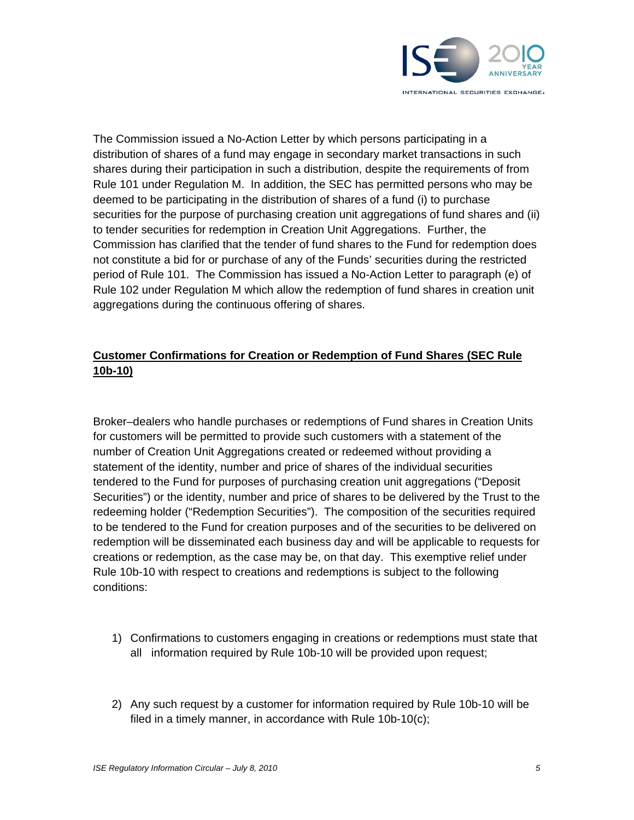

The Commission issued a No-Action Letter by which persons participating in a distribution of shares of a fund may engage in secondary market transactions in such shares during their participation in such a distribution, despite the requirements of from Rule 101 under Regulation M. In addition, the SEC has permitted persons who may be deemed to be participating in the distribution of shares of a fund (i) to purchase securities for the purpose of purchasing creation unit aggregations of fund shares and (ii) to tender securities for redemption in Creation Unit Aggregations. Further, the Commission has clarified that the tender of fund shares to the Fund for redemption does not constitute a bid for or purchase of any of the Funds' securities during the restricted period of Rule 101. The Commission has issued a No-Action Letter to paragraph (e) of Rule 102 under Regulation M which allow the redemption of fund shares in creation unit aggregations during the continuous offering of shares.

# **Customer Confirmations for Creation or Redemption of Fund Shares (SEC Rule 10b-10)**

Broker–dealers who handle purchases or redemptions of Fund shares in Creation Units for customers will be permitted to provide such customers with a statement of the number of Creation Unit Aggregations created or redeemed without providing a statement of the identity, number and price of shares of the individual securities tendered to the Fund for purposes of purchasing creation unit aggregations ("Deposit Securities") or the identity, number and price of shares to be delivered by the Trust to the redeeming holder ("Redemption Securities"). The composition of the securities required to be tendered to the Fund for creation purposes and of the securities to be delivered on redemption will be disseminated each business day and will be applicable to requests for creations or redemption, as the case may be, on that day. This exemptive relief under Rule 10b-10 with respect to creations and redemptions is subject to the following conditions:

- 1) Confirmations to customers engaging in creations or redemptions must state that all information required by Rule 10b-10 will be provided upon request;
- 2) Any such request by a customer for information required by Rule 10b-10 will be filed in a timely manner, in accordance with Rule 10b-10(c);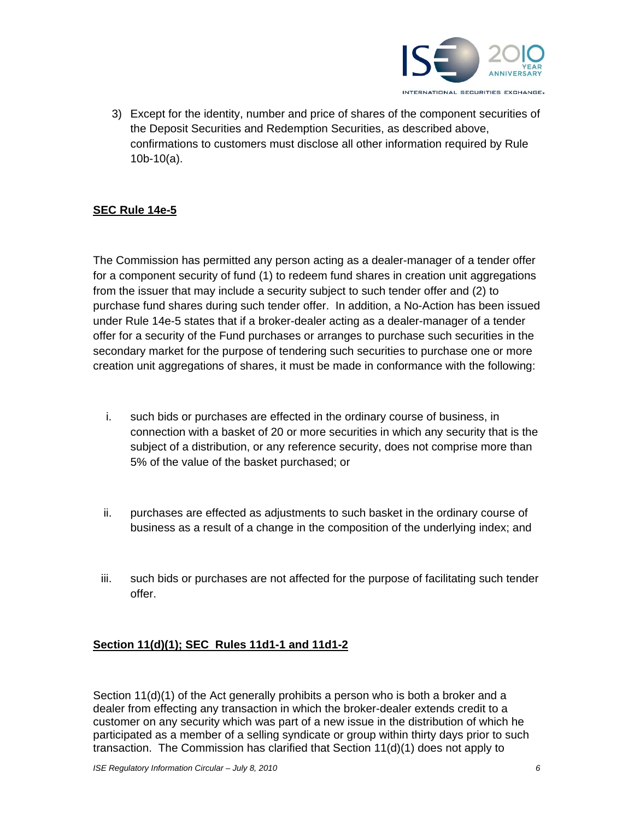

3) Except for the identity, number and price of shares of the component securities of the Deposit Securities and Redemption Securities, as described above, confirmations to customers must disclose all other information required by Rule 10b-10(a).

## **SEC Rule 14e-5**

The Commission has permitted any person acting as a dealer-manager of a tender offer for a component security of fund (1) to redeem fund shares in creation unit aggregations from the issuer that may include a security subject to such tender offer and (2) to purchase fund shares during such tender offer. In addition, a No-Action has been issued under Rule 14e-5 states that if a broker-dealer acting as a dealer-manager of a tender offer for a security of the Fund purchases or arranges to purchase such securities in the secondary market for the purpose of tendering such securities to purchase one or more creation unit aggregations of shares, it must be made in conformance with the following:

- i. such bids or purchases are effected in the ordinary course of business, in connection with a basket of 20 or more securities in which any security that is the subject of a distribution, or any reference security, does not comprise more than 5% of the value of the basket purchased; or
- ii. purchases are effected as adjustments to such basket in the ordinary course of business as a result of a change in the composition of the underlying index; and
- iii. such bids or purchases are not affected for the purpose of facilitating such tender offer.

#### **Section 11(d)(1); SEC Rules 11d1-1 and 11d1-2**

Section 11(d)(1) of the Act generally prohibits a person who is both a broker and a dealer from effecting any transaction in which the broker-dealer extends credit to a customer on any security which was part of a new issue in the distribution of which he participated as a member of a selling syndicate or group within thirty days prior to such transaction. The Commission has clarified that Section 11(d)(1) does not apply to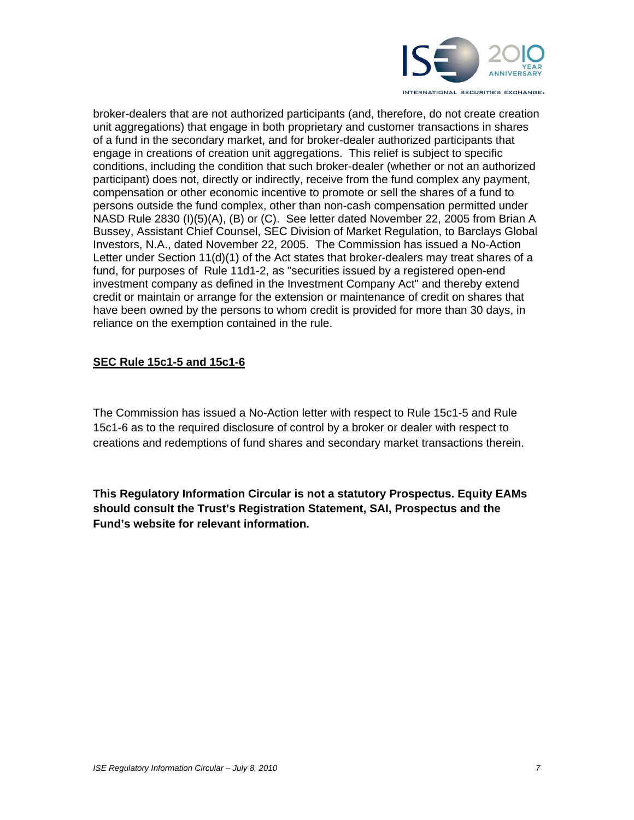

broker-dealers that are not authorized participants (and, therefore, do not create creation unit aggregations) that engage in both proprietary and customer transactions in shares of a fund in the secondary market, and for broker-dealer authorized participants that engage in creations of creation unit aggregations. This relief is subject to specific conditions, including the condition that such broker-dealer (whether or not an authorized participant) does not, directly or indirectly, receive from the fund complex any payment, compensation or other economic incentive to promote or sell the shares of a fund to persons outside the fund complex, other than non-cash compensation permitted under NASD Rule 2830 (I)(5)(A), (B) or (C). See letter dated November 22, 2005 from Brian A Bussey, Assistant Chief Counsel, SEC Division of Market Regulation, to Barclays Global Investors, N.A., dated November 22, 2005. The Commission has issued a No-Action Letter under Section 11(d)(1) of the Act states that broker-dealers may treat shares of a fund, for purposes of Rule 11d1-2, as "securities issued by a registered open-end investment company as defined in the Investment Company Act" and thereby extend credit or maintain or arrange for the extension or maintenance of credit on shares that have been owned by the persons to whom credit is provided for more than 30 days, in reliance on the exemption contained in the rule.

## **SEC Rule 15c1-5 and 15c1-6**

The Commission has issued a No-Action letter with respect to Rule 15c1-5 and Rule 15c1-6 as to the required disclosure of control by a broker or dealer with respect to creations and redemptions of fund shares and secondary market transactions therein.

**This Regulatory Information Circular is not a statutory Prospectus. Equity EAMs should consult the Trust's Registration Statement, SAI, Prospectus and the Fund's website for relevant information.**